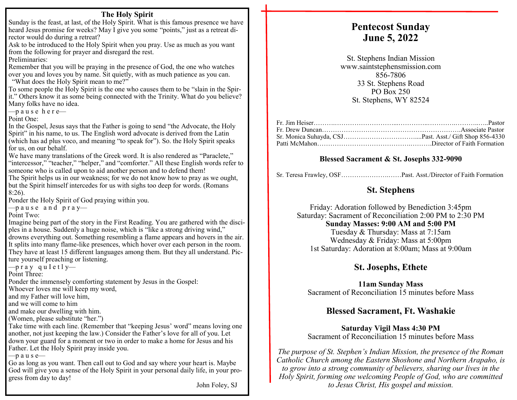### **The Holy Spirit**

Sunday is the feast, at last, of the Holy Spirit. What is this famous presence we have heard Jesus promise for weeks? May I give you some "points," just as a retreat director would do during a retreat?

Ask to be introduced to the Holy Spirit when you pray. Use as much as you want from the following for prayer and disregard the rest.

Preliminaries:

Remember that you will be praying in the presence of God, the one who watches over you and loves you by name. Sit quietly, with as much patience as you can. "What does the Holy Spirit mean to me?"

To some people the Holy Spirit is the one who causes them to be "slain in the Spirit." Others know it as some being connected with the Trinity. What do you believe? Many folks have no idea.

 $-p$  ause here-

Point One:

In the Gospel, Jesus says that the Father is going to send "the Advocate, the Holy Spirit" in his name, to us. The English word advocate is derived from the Latin (which has ad plus voco, and meaning "to speak for"). So. the Holy Spirit speaks for us, on our behalf.

We have many translations of the Greek word. It is also rendered as "Paraclete," "intercessor," "teacher," "helper," and "comforter." All these English words refer to someone who is called upon to aid another person and to defend them!

The Spirit helps us in our weakness; for we do not know how to pray as we ought, but the Spirit himself intercedes for us with sighs too deep for words. (Romans 8:26).

Ponder the Holy Spirit of God praying within you.

 $-$  pause and pray—

Point Two:

Imagine being part of the story in the First Reading. You are gathered with the disciples in a house. Suddenly a huge noise, which is "like a strong driving wind," drowns everything out. Something resembling a flame appears and hovers in the air. It splits into many flame-like presences, which hover over each person in the room. They have at least 15 different languages among them. But they all understand. Picture yourself preaching or listening.

 $\frac{1}{\sqrt{2}}$  p r a y g u I e t l y

Point Three:

Ponder the immensely comforting statement by Jesus in the Gospel:

Whoever loves me will keep my word,

and my Father will love him,

and we will come to him

and make our dwelling with him.

(Women, please substitute "her.")

Take time with each line. (Remember that "keeping Jesus' word" means loving one another, not just keeping the law.) Consider the Father's love for all of you. Let down your guard for a moment or two in order to make a home for Jesus and his Father. Let the Holy Spirit pray inside you.

 $-p$  a u s e—

Go as long as you want. Then call out to God and say where your heart is. Maybe God will give you a sense of the Holy Spirit in your personal daily life, in your progress from day to day!

John Foley, SJ

# **Pentecost Sunday June 5, 2022**

St. Stephens Indian Mission www.saintstephensmission.com 856-7806 33 St. Stephens Road PO Box 250 St. Stephens, WY 82524

## **Blessed Sacrament & St. Josephs 332-9090**

Sr. Teresa Frawley, OSF………………….……Past. Asst./Director of Faith Formation

# **St. Stephens**

Friday: Adoration followed by Benediction 3:45pm Saturday: Sacrament of Reconciliation 2:00 PM to 2:30 PM **Sunday Masses: 9:00 AM and 5:00 PM**  Tuesday & Thursday: Mass at 7:15am Wednesday & Friday: Mass at 5:00pm 1st Saturday: Adoration at 8:00am; Mass at 9:00am

# **St. Josephs, Ethete**

**11am Sunday Mass**  Sacrament of Reconciliation 15 minutes before Mass

# **Blessed Sacrament, Ft. Washakie**

**Saturday Vigil Mass 4:30 PM**  Sacrament of Reconciliation 15 minutes before Mass

*The purpose of St. Stephen's Indian Mission, the presence of the Roman Catholic Church among the Eastern Shoshone and Northern Arapaho, is to grow into a strong community of believers, sharing our lives in the Holy Spirit, forming one welcoming People of God, who are committed to Jesus Christ, His gospel and mission.*